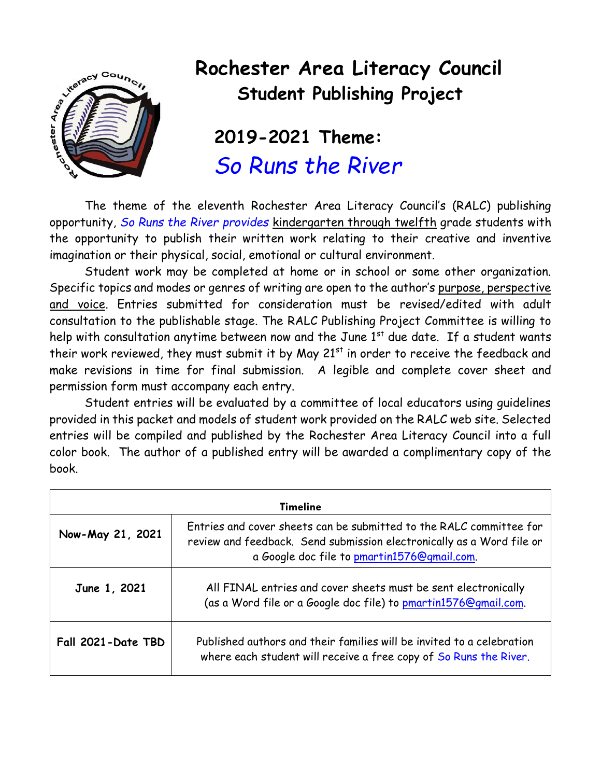

## **Rochester Area Literacy Council Student Publishing Project**

## **2019-2021 Theme:** *So Runs the River*

The theme of the eleventh Rochester Area Literacy Council's (RALC) publishing opportunity, *So Runs the River provides* kindergarten through twelfth grade students with the opportunity to publish their written work relating to their creative and inventive imagination or their physical, social, emotional or cultural environment.

Student work may be completed at home or in school or some other organization. Specific topics and modes or genres of writing are open to the author's purpose, perspective and voice. Entries submitted for consideration must be revised/edited with adult consultation to the publishable stage. The RALC Publishing Project Committee is willing to help with consultation anytime between now and the June 1<sup>st</sup> due date. If a student wants their work reviewed, they must submit it by May  $21^{st}$  in order to receive the feedback and make revisions in time for final submission. A legible and complete cover sheet and permission form must accompany each entry.

Student entries will be evaluated by a committee of local educators using guidelines provided in this packet and models of student work provided on the RALC web site. Selected entries will be compiled and published by the Rochester Area Literacy Council into a full color book. The author of a published entry will be awarded a complimentary copy of the book.

| <b>Timeline</b>    |                                                                                                                                                                                             |  |
|--------------------|---------------------------------------------------------------------------------------------------------------------------------------------------------------------------------------------|--|
| Now-May 21, 2021   | Entries and cover sheets can be submitted to the RALC committee for<br>review and feedback. Send submission electronically as a Word file or<br>a Google doc file to pmartin1576@gmail.com. |  |
| June 1, 2021       | All FINAL entries and cover sheets must be sent electronically<br>(as a Word file or a Google doc file) to pmartin1576@gmail.com.                                                           |  |
| Fall 2021-Date TBD | Published authors and their families will be invited to a celebration<br>where each student will receive a free copy of So Runs the River.                                                  |  |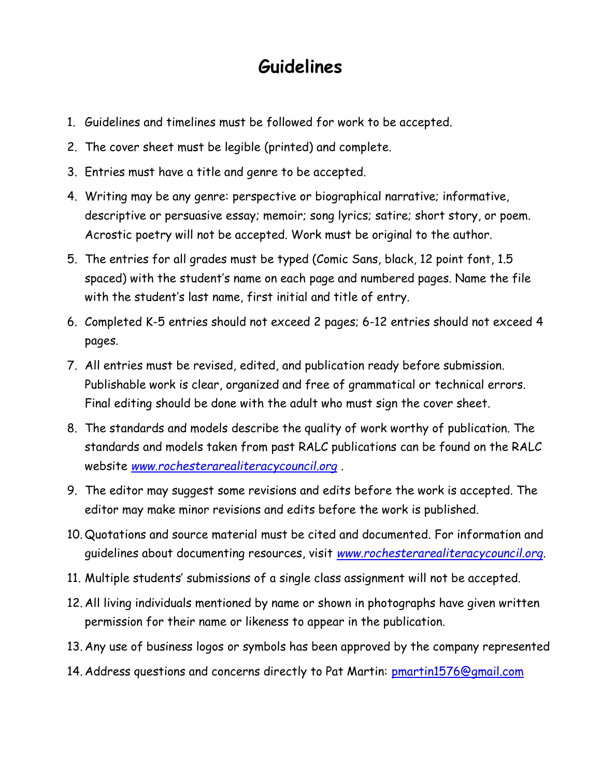## **Guidelines**

- 1. Guidelines and timelines must be followed for work to be accepted.
- 2. The cover sheet must be legible (printed) and complete.
- 3. Entries must have a title and genre to be accepted.
- 4. Writing may be any genre: perspective or biographical narrative; informative, descriptive or persuasive essay; memoir; song lyrics; satire; short story, or poem. Acrostic poetry will not be accepted. Work must be original to the author.
- 5. The entries for all grades must be typed (Comic Sans, black, 12 point font, 1.5 spaced) with the student's name on each page and numbered pages. Name the file with the student's last name, first initial and title of entry.
- 6. Completed K-5 entries should not exceed 2 pages; 6-12 entries should not exceed 4 pages.
- 7. All entries must be revised, edited, and publication ready before submission. Publishable work is clear, organized and free of grammatical or technical errors. Final editing should be done with the adult who must sign the cover sheet.
- 8. The standards and models describe the quality of work worthy of publication. The standards and models taken from past RALC publications can be found on the RALC website *[www.rochesterarealiteracycouncil.org](http://www.rochesterarealiteracycouncil.org/)* .
- 9. The editor may suggest some revisions and edits before the work is accepted. The editor may make minor revisions and edits before the work is published.
- 10. Quotations and source material must be cited and documented. For information and guidelines about documenting resources, visit *[www.rochesterarealiteracycouncil.org](http://www.rochesterarealiteracycouncil.org/)*.
- 11. Multiple students' submissions of a single class assignment will not be accepted.
- 12. All living individuals mentioned by name or shown in photographs have given written permission for their name or likeness to appear in the publication.
- 13. Any use of business logos or symbols has been approved by the company represented
- 14. Address questions and concerns directly to Pat Martin: [pmartin1576@gmail.com](mailto:pmartin1576@gmail.com)